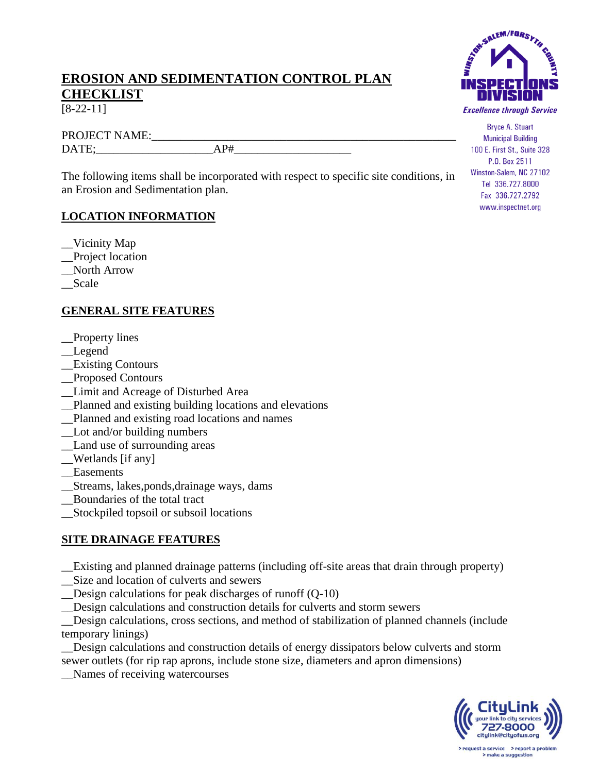## **EROSION AND SEDIMENTATION CONTROL PLAN CHECKLIST**

[8-22-11]

PROJECT NAME: DATE: AP#

The following items shall be incorporated with respect to specific site conditions, in an Erosion and Sedimentation plan.

#### **LOCATION INFORMATION**

- \_\_Vicinity Map
- \_\_Project location
- \_\_North Arrow
- \_\_Scale

### **GENERAL SITE FEATURES**

- \_\_Property lines
- \_\_Legend
- \_\_Existing Contours
- \_\_Proposed Contours
- \_\_Limit and Acreage of Disturbed Area
- \_\_Planned and existing building locations and elevations
- \_\_Planned and existing road locations and names
- \_\_Lot and/or building numbers
- \_\_Land use of surrounding areas
- \_\_Wetlands [if any]
- Easements
- \_\_Streams, lakes,ponds,drainage ways, dams
- \_\_Boundaries of the total tract
- \_\_Stockpiled topsoil or subsoil locations

#### **SITE DRAINAGE FEATURES**

\_\_Existing and planned drainage patterns (including off-site areas that drain through property)

- \_\_Size and location of culverts and sewers
- \_\_Design calculations for peak discharges of runoff (Q-10)
- \_\_Design calculations and construction details for culverts and storm sewers

\_\_Design calculations, cross sections, and method of stabilization of planned channels (include temporary linings)

\_\_Design calculations and construction details of energy dissipators below culverts and storm sewer outlets (for rip rap aprons, include stone size, diameters and apron dimensions)

\_\_Names of receiving watercourses



**Bryce A. Stuart Municipal Building** 100 E. First St., Suite 328 P.O. Box 2511 Winston-Salem, NC 27102 Tel 336.727.8000 Fax 336.727.2792 www.inspectnet.org



make a suggestion